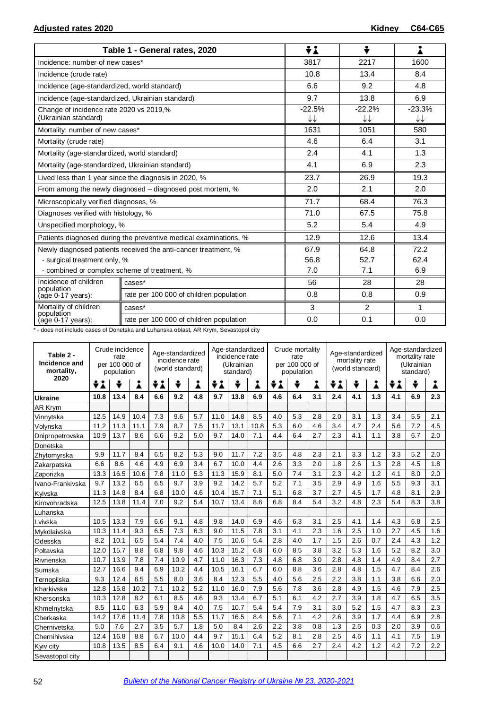|                                                  | Table 1 - General rates, 2020                                    | ÷i       | ÷                      |                        |  |
|--------------------------------------------------|------------------------------------------------------------------|----------|------------------------|------------------------|--|
| Incidence: number of new cases*                  |                                                                  | 3817     | 2217                   | 1600                   |  |
| Incidence (crude rate)                           |                                                                  | 10.8     | 13.4                   | 8.4                    |  |
| Incidence (age-standardized, world standard)     |                                                                  | 6.6      | 9.2                    | 4.8                    |  |
| Incidence (age-standardized, Ukrainian standard) |                                                                  | 9.7      | 13.8                   | 6.9                    |  |
| Change of incidence rate 2020 vs 2019,%          |                                                                  | $-22.5%$ | $-22.2%$               | $-23.3%$               |  |
| (Ukrainian standard)                             |                                                                  | ↓↓       | $\downarrow\downarrow$ | $\downarrow\downarrow$ |  |
| Mortality: number of new cases*                  |                                                                  | 1631     | 1051                   | 580                    |  |
| Mortality (crude rate)                           |                                                                  | 4.6      | 6.4                    | 3.1                    |  |
| Mortality (age-standardized, world standard)     |                                                                  | 2.4      | 4.1                    | 1.3                    |  |
| Mortality (age-standardized, Ukrainian standard) |                                                                  | 4.1      | 6.9                    | 2.3                    |  |
|                                                  | Lived less than 1 year since the diagnosis in 2020, %            | 23.7     | 26.9                   | 19.3                   |  |
|                                                  | From among the newly diagnosed – diagnosed post mortem, %        | 2.0      | 2.1                    | 2.0                    |  |
| Microscopically verified diagnoses, %            |                                                                  | 71.7     | 68.4                   | 76.3                   |  |
| Diagnoses verified with histology, %             |                                                                  | 71.0     | 67.5                   | 75.8                   |  |
| Unspecified morphology, %                        |                                                                  | 5.2      | 5.4                    | 4.9                    |  |
|                                                  | Patients diagnosed during the preventive medical examinations, % | 12.9     | 12.6                   | 13.4                   |  |
|                                                  | Newly diagnosed patients received the anti-cancer treatment, %   | 67.9     | 64.8                   | 72.2                   |  |
| - surgical treatment only, %                     |                                                                  | 56.8     | 52.7<br>62.4           |                        |  |
| - combined or complex scheme of treatment, %     |                                                                  | 7.0      | 7.1                    | 6.9                    |  |
| Incidence of children                            | cases*                                                           | 56       | 28                     | 28                     |  |
| population<br>(age 0-17 years):                  | rate per 100 000 of children population                          | 0.8      | 0.8                    | 0.9                    |  |
| Mortality of children                            | cases*                                                           | 3        | 2                      | 1                      |  |
| population<br>$(age 0-17 years):$                | rate per 100 000 of children population                          | 0.0      | 0.1                    | 0.0                    |  |

\* - does not include cases of Donetska and Luhanska oblast, AR Krym, Sevastopol city

| Table 2 -<br>Incidence and<br>mortality, | Crude incidence<br>Age-standardized<br>rate<br>incidence rate<br>per 100 000 of<br>(world standard)<br>population |      |      |     |      | Age-standardized<br>incidence rate<br>(Ukrainian<br>standard) |      |      | Crude mortality<br>rate<br>per 100 000 of<br>population |     |     | Age-standardized<br>mortality rate<br>(world standard) |         |     | Age-standardized<br>mortality rate<br>(Ukrainian<br>standard) |     |     |     |
|------------------------------------------|-------------------------------------------------------------------------------------------------------------------|------|------|-----|------|---------------------------------------------------------------|------|------|---------------------------------------------------------|-----|-----|--------------------------------------------------------|---------|-----|---------------------------------------------------------------|-----|-----|-----|
| 2020                                     | ÷i                                                                                                                | ÷    | Â    | ÷i  | ÷    | i                                                             | ÷i   | ÷    | Å                                                       | ÷i  | ÷   | i                                                      | ÷<br>÷i |     | i                                                             | ÷i  | ÷   | Å   |
| <b>Ukraine</b>                           | 10.8                                                                                                              | 13.4 | 8.4  | 6.6 | 9.2  | 4.8                                                           | 9.7  | 13.8 | 6.9                                                     | 4.6 | 6.4 | 3.1                                                    | 2.4     | 4.1 | 1.3                                                           | 4.1 | 6.9 | 2.3 |
| AR Krym                                  |                                                                                                                   |      |      |     |      |                                                               |      |      |                                                         |     |     |                                                        |         |     |                                                               |     |     |     |
| Vinnytska                                | 12.5                                                                                                              | 14.9 | 10.4 | 7.3 | 9.6  | 5.7                                                           | 11.0 | 14.8 | 8.5                                                     | 4.0 | 5.3 | 2.8                                                    | 2.0     | 3.1 | 1.3                                                           | 3.4 | 5.5 | 2.1 |
| Volynska                                 | 11.2                                                                                                              | 11.3 | 11.1 | 7.9 | 8.7  | 7.5                                                           | 11.7 | 13.1 | 10.8                                                    | 5.3 | 6.0 | 4.6                                                    | 3.4     | 4.7 | 2.4                                                           | 5.6 | 7.2 | 4.5 |
| Dnipropetrovska                          | 10.9                                                                                                              | 13.7 | 8.6  | 6.6 | 9.2  | 5.0                                                           | 9.7  | 14.0 | 7.1                                                     | 4.4 | 6.4 | 2.7                                                    | 2.3     | 4.1 | 1.1                                                           | 3.8 | 6.7 | 2.0 |
| Donetska                                 |                                                                                                                   |      |      |     |      |                                                               |      |      |                                                         |     |     |                                                        |         |     |                                                               |     |     |     |
| Zhytomyrska                              | 9.9                                                                                                               | 11.7 | 8.4  | 6.5 | 8.2  | 5.3                                                           | 9.0  | 11.7 | 7.2                                                     | 3.5 | 4.8 | 2.3                                                    | 2.1     | 3.3 | 1.2                                                           | 3.3 | 5.2 | 2.0 |
| Zakarpatska                              | 6.6                                                                                                               | 8.6  | 4.6  | 4.9 | 6.9  | 3.4                                                           | 6.7  | 10.0 | 4.4                                                     | 2.6 | 3.3 | 2.0                                                    | 1.8     | 2.6 | 1.3                                                           | 2.8 | 4.5 | 1.8 |
| Zaporizka                                | 13.3                                                                                                              | 16.5 | 10.6 | 7.8 | 11.0 | 5.3                                                           | 11.3 | 15.9 | 8.1                                                     | 5.0 | 7.4 | 3.1                                                    | 2.3     | 4.2 | 1.2                                                           | 4.1 | 8.0 | 2.0 |
| Ivano-Frankivska                         | 9.7                                                                                                               | 13.2 | 6.5  | 6.5 | 9.7  | 3.9                                                           | 9.2  | 14.2 | 5.7                                                     | 5.2 | 7.1 | 3.5                                                    | 2.9     | 4.9 | 1.6                                                           | 5.5 | 9.3 | 3.1 |
| Kvivska                                  | 11.3                                                                                                              | 14.8 | 8.4  | 6.8 | 10.0 | 4.6                                                           | 10.4 | 15.7 | 7.1                                                     | 5.1 | 6.8 | 3.7                                                    | 2.7     | 4.5 | 1.7                                                           | 4.8 | 8.1 | 2.9 |
| Kirovohradska                            | 12.5                                                                                                              | 13.8 | 11.4 | 7.0 | 9.2  | 5.4                                                           | 10.7 | 13.4 | 8.6                                                     | 6.8 | 8.4 | 5.4                                                    | 3.2     | 4.8 | 2.3                                                           | 5.4 | 8.3 | 3.8 |
| Luhanska                                 |                                                                                                                   |      |      |     |      |                                                               |      |      |                                                         |     |     |                                                        |         |     |                                                               |     |     |     |
| Lvivska                                  | 10.5                                                                                                              | 13.3 | 7.9  | 6.6 | 9.1  | 4.8                                                           | 9.8  | 14.0 | 6.9                                                     | 4.6 | 6.3 | 3.1                                                    | 2.5     | 4.1 | 1.4                                                           | 4.3 | 6.8 | 2.5 |
| Mykolaivska                              | 10.3                                                                                                              | 11.4 | 9.3  | 6.5 | 7.3  | 6.3                                                           | 9.0  | 11.5 | 7.8                                                     | 3.1 | 4.1 | 2.3                                                    | 1.6     | 2.5 | 1.0                                                           | 2.7 | 4.5 | 1.6 |
| Odesska                                  | 8.2                                                                                                               | 10.1 | 6.5  | 5.4 | 7.4  | 4.0                                                           | 7.5  | 10.6 | 5.4                                                     | 2.8 | 4.0 | 1.7                                                    | 1.5     | 2.6 | 0.7                                                           | 2.4 | 4.3 | 1.2 |
| Poltavska                                | 12.0                                                                                                              | 15.7 | 8.8  | 6.8 | 9.8  | 4.6                                                           | 10.3 | 15.2 | 6.8                                                     | 6.0 | 8.5 | 3.8                                                    | 3.2     | 5.3 | 1.6                                                           | 5.2 | 8.2 | 3.0 |
| Rivnenska                                | 10.7                                                                                                              | 13.9 | 7.8  | 7.4 | 10.9 | 4.7                                                           | 11.0 | 16.3 | 7.3                                                     | 4.8 | 6.8 | 3.0                                                    | 2.8     | 4.8 | 1.4                                                           | 4.9 | 8.4 | 2.7 |
| Sumska                                   | 12.7                                                                                                              | 16.6 | 9.4  | 6.9 | 10.2 | 4.4                                                           | 10.5 | 16.1 | 6.7                                                     | 6.0 | 8.8 | 3.6                                                    | 2.8     | 4.8 | 1.5                                                           | 4.7 | 8.4 | 2.6 |
| Ternopilska                              | 9.3                                                                                                               | 12.4 | 6.5  | 5.5 | 8.0  | 3.6                                                           | 8.4  | 12.3 | 5.5                                                     | 4.0 | 5.6 | 2.5                                                    | 2.2     | 3.8 | 1.1                                                           | 3.8 | 6.6 | 2.0 |
| Kharkivska                               | 12.8                                                                                                              | 15.8 | 10.2 | 7.1 | 10.2 | 5.2                                                           | 11.0 | 16.0 | 7.9                                                     | 5.6 | 7.8 | 3.6                                                    | 2.8     | 4.9 | 1.5                                                           | 4.6 | 7.9 | 2.5 |
| Khersonska                               | 10.3                                                                                                              | 12.8 | 8.2  | 6.1 | 8.5  | 4.6                                                           | 9.3  | 13.4 | 6.7                                                     | 5.1 | 6.1 | 4.2                                                    | 2.7     | 3.9 | 1.8                                                           | 4.7 | 6.5 | 3.5 |
| Khmelnytska                              | 8.5                                                                                                               | 11.0 | 6.3  | 5.9 | 8.4  | 4.0                                                           | 7.5  | 10.7 | 5.4                                                     | 5.4 | 7.9 | 3.1                                                    | 3.0     | 5.2 | 1.5                                                           | 4.7 | 8.3 | 2.3 |
| Cherkaska                                | 14.2                                                                                                              | 17.6 | 11.4 | 7.8 | 10.8 | 5.5                                                           | 11.7 | 16.5 | 8.4                                                     | 5.6 | 7.1 | 4.2                                                    | 2.6     | 3.9 | 1.7                                                           | 4.4 | 6.9 | 2.8 |
| Chernivetska                             | 5.0                                                                                                               | 7.6  | 2.7  | 3.5 | 5.7  | 1.8                                                           | 5.0  | 8.4  | 2.6                                                     | 2.2 | 3.8 | 0.8                                                    | 1.3     | 2.6 | 0.3                                                           | 2.0 | 3.9 | 0.6 |
| Chernihivska                             | 12.4                                                                                                              | 16.8 | 8.8  | 6.7 | 10.0 | 4.4                                                           | 9.7  | 15.1 | 6.4                                                     | 5.2 | 8.1 | 2.8                                                    | 2.5     | 4.6 | 1.1                                                           | 4.1 | 7.5 | 1.9 |
| Kyiv city                                | 10.8                                                                                                              | 13.5 | 8.5  | 6.4 | 9.1  | 4.6                                                           | 10.0 | 14.0 | 7.1                                                     | 4.5 | 6.6 | 2.7                                                    | 2.4     | 4.2 | 1.2                                                           | 4.2 | 7.2 | 2.2 |
| Sevastopol city                          |                                                                                                                   |      |      |     |      |                                                               |      |      |                                                         |     |     |                                                        |         |     |                                                               |     |     |     |